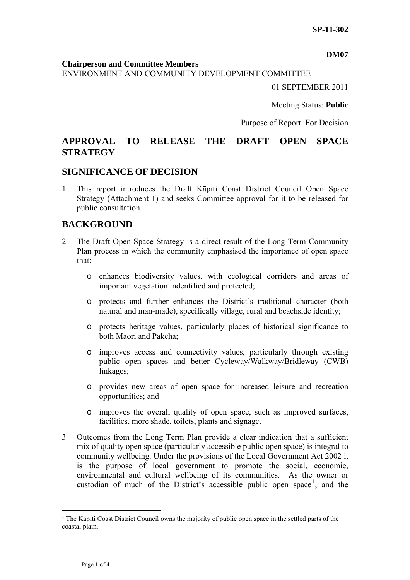#### **DM07**

**Chairperson and Committee Members**

ENVIRONMENT AND COMMUNITY DEVELOPMENT COMMITTEE

01 SEPTEMBER 2011

Meeting Status: **Public**

Purpose of Report: For Decision

# **APPROVAL TO RELEASE THE DRAFT OPEN SPACE STRATEGY**

#### **SIGNIFICANCE OF DECISION**

1 This report introduces the Draft Kāpiti Coast District Council Open Space Strategy (Attachment 1) and seeks Committee approval for it to be released for public consultation.

### **BACKGROUND**

- 2 The Draft Open Space Strategy is a direct result of the Long Term Community Plan process in which the community emphasised the importance of open space that:
	- o enhances biodiversity values, with ecological corridors and areas of important vegetation indentified and protected;
	- o protects and further enhances the District's traditional character (both natural and man-made), specifically village, rural and beachside identity;
	- o protects heritage values, particularly places of historical significance to both Māori and Pakehā;
	- o improves access and connectivity values, particularly through existing public open spaces and better Cycleway/Walkway/Bridleway (CWB) linkages;
	- o provides new areas of open space for increased leisure and recreation opportunities; and
	- o improves the overall quality of open space, such as improved surfaces, facilities, more shade, toilets, plants and signage.
- 3 Outcomes from the Long Term Plan provide a clear indication that a sufficient mix of quality open space (particularly accessible public open space) is integral to community wellbeing. Under the provisions of the Local Government Act 2002 it is the purpose of local government to promote the social, economic, environmental and cultural wellbeing of its communities. As the owner or custodian of much of the District's accessible public open space<sup>[1](#page-0-0)</sup>, and the

 $\overline{a}$ 

<span id="page-0-0"></span><sup>&</sup>lt;sup>1</sup> The Kapiti Coast District Council owns the majority of public open space in the settled parts of the coastal plain.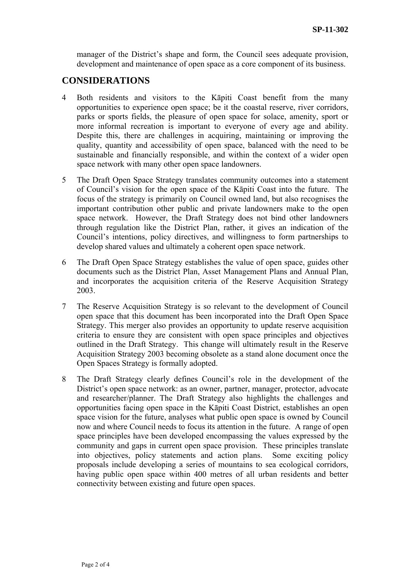manager of the District's shape and form, the Council sees adequate provision, development and maintenance of open space as a core component of its business.

### **CONSIDERATIONS**

- 4 Both residents and visitors to the Kāpiti Coast benefit from the many opportunities to experience open space; be it the coastal reserve, river corridors, parks or sports fields, the pleasure of open space for solace, amenity, sport or more informal recreation is important to everyone of every age and ability. Despite this, there are challenges in acquiring, maintaining or improving the quality, quantity and accessibility of open space, balanced with the need to be sustainable and financially responsible, and within the context of a wider open space network with many other open space landowners.
- 5 The Draft Open Space Strategy translates community outcomes into a statement of Council's vision for the open space of the Kāpiti Coast into the future. The focus of the strategy is primarily on Council owned land, but also recognises the important contribution other public and private landowners make to the open space network. However, the Draft Strategy does not bind other landowners through regulation like the District Plan, rather, it gives an indication of the Council's intentions, policy directives, and willingness to form partnerships to develop shared values and ultimately a coherent open space network.
- 6 The Draft Open Space Strategy establishes the value of open space, guides other documents such as the District Plan, Asset Management Plans and Annual Plan, and incorporates the acquisition criteria of the Reserve Acquisition Strategy 2003.
- 7 The Reserve Acquisition Strategy is so relevant to the development of Council open space that this document has been incorporated into the Draft Open Space Strategy. This merger also provides an opportunity to update reserve acquisition criteria to ensure they are consistent with open space principles and objectives outlined in the Draft Strategy. This change will ultimately result in the Reserve Acquisition Strategy 2003 becoming obsolete as a stand alone document once the Open Spaces Strategy is formally adopted.
- 8 The Draft Strategy clearly defines Council's role in the development of the District's open space network: as an owner, partner, manager, protector, advocate and researcher/planner. The Draft Strategy also highlights the challenges and opportunities facing open space in the Kāpiti Coast District, establishes an open space vision for the future, analyses what public open space is owned by Council now and where Council needs to focus its attention in the future. A range of open space principles have been developed encompassing the values expressed by the community and gaps in current open space provision. These principles translate into objectives, policy statements and action plans. Some exciting policy proposals include developing a series of mountains to sea ecological corridors, having public open space within 400 metres of all urban residents and better connectivity between existing and future open spaces.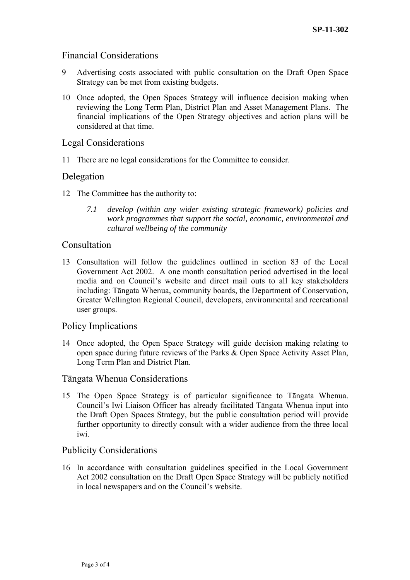### Financial Considerations

- 9 Advertising costs associated with public consultation on the Draft Open Space Strategy can be met from existing budgets.
- 10 Once adopted, the Open Spaces Strategy will influence decision making when reviewing the Long Term Plan, District Plan and Asset Management Plans. The financial implications of the Open Strategy objectives and action plans will be considered at that time.

## Legal Considerations

11 There are no legal considerations for the Committee to consider.

### Delegation

- 12 The Committee has the authority to:
	- *7.1 develop (within any wider existing strategic framework) policies and work programmes that support the social, economic, environmental and cultural wellbeing of the community*

#### Consultation

13 Consultation will follow the guidelines outlined in section 83 of the Local Government Act 2002. A one month consultation period advertised in the local media and on Council's website and direct mail outs to all key stakeholders including: Tāngata Whenua, community boards, the Department of Conservation, Greater Wellington Regional Council, developers, environmental and recreational user groups.

### Policy Implications

14 Once adopted, the Open Space Strategy will guide decision making relating to open space during future reviews of the Parks & Open Space Activity Asset Plan, Long Term Plan and District Plan.

### Tāngata Whenua Considerations

15 The Open Space Strategy is of particular significance to Tāngata Whenua. Council's Iwi Liaison Officer has already facilitated Tāngata Whenua input into the Draft Open Spaces Strategy, but the public consultation period will provide further opportunity to directly consult with a wider audience from the three local iwi.

### Publicity Considerations

16 In accordance with consultation guidelines specified in the Local Government Act 2002 consultation on the Draft Open Space Strategy will be publicly notified in local newspapers and on the Council's website.